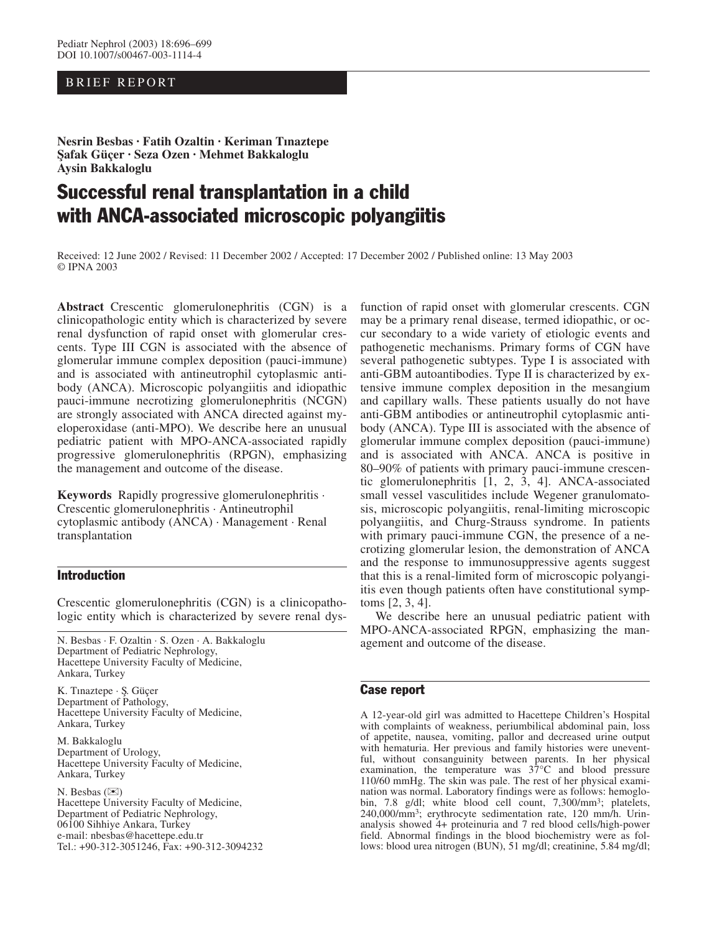## BRIEF REPORT

**Nesrin Besbas · Fatih Ozaltin · Keriman Tınaztepe S¸afak Güçer · Seza Ozen · Mehmet Bakkaloglu Aysin Bakkaloglu**

# Successful renal transplantation in a child with ANCA-associated microscopic polyangiitis

Received: 12 June 2002 / Revised: 11 December 2002 / Accepted: 17 December 2002 / Published online: 13 May 2003 © IPNA 2003

**Abstract** Crescentic glomerulonephritis (CGN) is a clinicopathologic entity which is characterized by severe renal dysfunction of rapid onset with glomerular crescents. Type III CGN is associated with the absence of glomerular immune complex deposition (pauci-immune) and is associated with antineutrophil cytoplasmic antibody (ANCA). Microscopic polyangiitis and idiopathic pauci-immune necrotizing glomerulonephritis (NCGN) are strongly associated with ANCA directed against myeloperoxidase (anti-MPO). We describe here an unusual pediatric patient with MPO-ANCA-associated rapidly progressive glomerulonephritis (RPGN), emphasizing the management and outcome of the disease.

**Keywords** Rapidly progressive glomerulonephritis · Crescentic glomerulonephritis · Antineutrophil cytoplasmic antibody (ANCA) · Management · Renal transplantation

## Introduction

Crescentic glomerulonephritis (CGN) is a clinicopathologic entity which is characterized by severe renal dys-

N. Besbas · F. Ozaltin · S. Ozen · A. Bakkaloglu Department of Pediatric Nephrology, Hacettepe University Faculty of Medicine, Ankara, Turkey

K. Tınaztepe · S¸. Güçer Department of Pathology, Hacettepe University Faculty of Medicine, Ankara, Turkey

M. Bakkaloglu Department of Urology, Hacettepe University Faculty of Medicine, Ankara, Turkey

N. Besbas  $(\mathbb{X})$ Hacettepe University Faculty of Medicine, Department of Pediatric Nephrology, 06100 Sihhiye Ankara, Turkey e-mail: nbesbas@hacettepe.edu.tr Tel.: +90-312-3051246, Fax: +90-312-3094232

function of rapid onset with glomerular crescents. CGN may be a primary renal disease, termed idiopathic, or occur secondary to a wide variety of etiologic events and pathogenetic mechanisms. Primary forms of CGN have several pathogenetic subtypes. Type I is associated with anti-GBM autoantibodies. Type II is characterized by extensive immune complex deposition in the mesangium and capillary walls. These patients usually do not have anti-GBM antibodies or antineutrophil cytoplasmic antibody (ANCA). Type III is associated with the absence of glomerular immune complex deposition (pauci-immune) and is associated with ANCA. ANCA is positive in 80–90% of patients with primary pauci-immune crescentic glomerulonephritis [1, 2, 3, 4]. ANCA-associated small vessel vasculitides include Wegener granulomatosis, microscopic polyangiitis, renal-limiting microscopic polyangiitis, and Churg-Strauss syndrome. In patients with primary pauci-immune CGN, the presence of a necrotizing glomerular lesion, the demonstration of ANCA and the response to immunosuppressive agents suggest that this is a renal-limited form of microscopic polyangiitis even though patients often have constitutional symptoms [2, 3, 4].

We describe here an unusual pediatric patient with MPO-ANCA-associated RPGN, emphasizing the management and outcome of the disease.

## Case report

A 12-year-old girl was admitted to Hacettepe Children's Hospital with complaints of weakness, periumbilical abdominal pain, loss of appetite, nausea, vomiting, pallor and decreased urine output with hematuria. Her previous and family histories were uneventful, without consanguinity between parents. In her physical examination, the temperature was  $37^{\circ}$ C and blood pressure 110/60 mmHg. The skin was pale. The rest of her physical examination was normal. Laboratory findings were as follows: hemoglobin, 7.8 g/dl; white blood cell count, 7,300/mm<sup>3</sup>; platelets, 240,000/mm3; erythrocyte sedimentation rate, 120 mm/h. Urinanalysis showed 4+ proteinuria and 7 red blood cells/high-power field. Abnormal findings in the blood biochemistry were as follows: blood urea nitrogen (BUN), 51 mg/dl; creatinine, 5.84 mg/dl;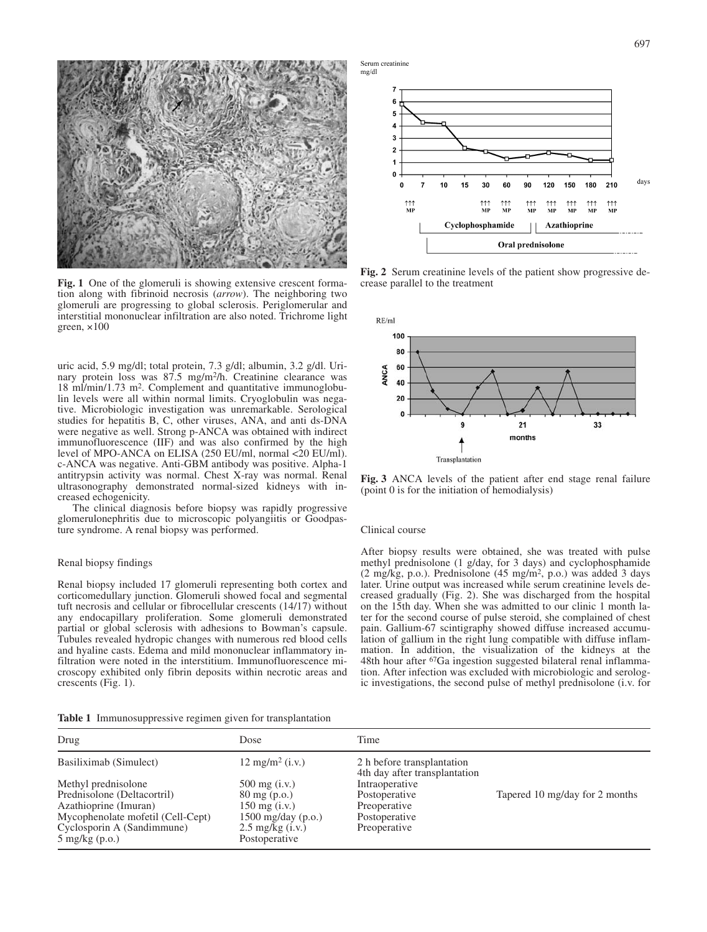

**Fig. 1** One of the glomeruli is showing extensive crescent formation along with fibrinoid necrosis (*arrow*). The neighboring two glomeruli are progressing to global sclerosis. Periglomerular and interstitial mononuclear infiltration are also noted. Trichrome light green,  $\times 100$ 

uric acid, 5.9 mg/dl; total protein, 7.3 g/dl; albumin, 3.2 g/dl. Urinary protein loss was 87.5 mg/m2/h. Creatinine clearance was 18 ml/min/1.73 m2. Complement and quantitative immunoglobulin levels were all within normal limits. Cryoglobulin was negative. Microbiologic investigation was unremarkable. Serological studies for hepatitis B, C, other viruses, ANA, and anti ds-DNA were negative as well. Strong p-ANCA was obtained with indirect immunofluorescence (IIF) and was also confirmed by the high level of MPO-ANCA on ELISA (250 EU/ml, normal <20 EU/ml). c-ANCA was negative. Anti-GBM antibody was positive. Alpha-1 antitrypsin activity was normal. Chest X-ray was normal. Renal ultrasonography demonstrated normal-sized kidneys with increased echogenicity.

The clinical diagnosis before biopsy was rapidly progressive glomerulonephritis due to microscopic polyangiitis or Goodpasture syndrome. A renal biopsy was performed.

### Renal biopsy findings

Renal biopsy included 17 glomeruli representing both cortex and corticomedullary junction. Glomeruli showed focal and segmental tuft necrosis and cellular or fibrocellular crescents (14/17) without any endocapillary proliferation. Some glomeruli demonstrated partial or global sclerosis with adhesions to Bowman's capsule. Tubules revealed hydropic changes with numerous red blood cells and hyaline casts. Edema and mild mononuclear inflammatory infiltration were noted in the interstitium. Immunofluorescence microscopy exhibited only fibrin deposits within necrotic areas and crescents (Fig. 1).

**Table 1** Immunosuppressive regimen given for transplantation





**Fig. 2** Serum creatinine levels of the patient show progressive decrease parallel to the treatment



**Fig. 3** ANCA levels of the patient after end stage renal failure (point 0 is for the initiation of hemodialysis)

#### Clinical course

After biopsy results were obtained, she was treated with pulse methyl prednisolone (1 g/day, for 3 days) and cyclophosphamide (2 mg/kg, p.o.). Prednisolone (45 mg/m2, p.o.) was added 3 days later. Urine output was increased while serum creatinine levels decreased gradually (Fig. 2). She was discharged from the hospital on the 15th day. When she was admitted to our clinic 1 month later for the second course of pulse steroid, she complained of chest pain. Gallium-67 scintigraphy showed diffuse increased accumulation of gallium in the right lung compatible with diffuse inflammation. In addition, the visualization of the kidneys at the 48th hour after 67Ga ingestion suggested bilateral renal inflammation. After infection was excluded with microbiologic and serologic investigations, the second pulse of methyl prednisolone (i.v. for

| Drug                              | Dose                       | Time                                                        |                                |
|-----------------------------------|----------------------------|-------------------------------------------------------------|--------------------------------|
| Basiliximab (Simulect)            | $12 \text{ mg/m}^2$ (i.v.) | 2 h before transplantation<br>4th day after transplantation |                                |
| Methyl prednisolone               | $500 \text{ mg}$ (i.v.)    | Intraoperative                                              |                                |
| Prednisolone (Deltacortril)       | $80 \text{ mg}$ (p.o.)     | Postoperative                                               | Tapered 10 mg/day for 2 months |
| Azathioprine (Imuran)             | $150 \text{ mg}$ (i.v.)    | Preoperative                                                |                                |
| Mycophenolate mofetil (Cell-Cept) | 1500 mg/day $(p.o.)$       | Postoperative                                               |                                |
| Cyclosporin A (Sandimmune)        | $2.5 \text{ mg/kg}$ (i.v.) | Preoperative                                                |                                |
| $5 \text{ mg/kg}$ (p.o.)          | Postoperative              |                                                             |                                |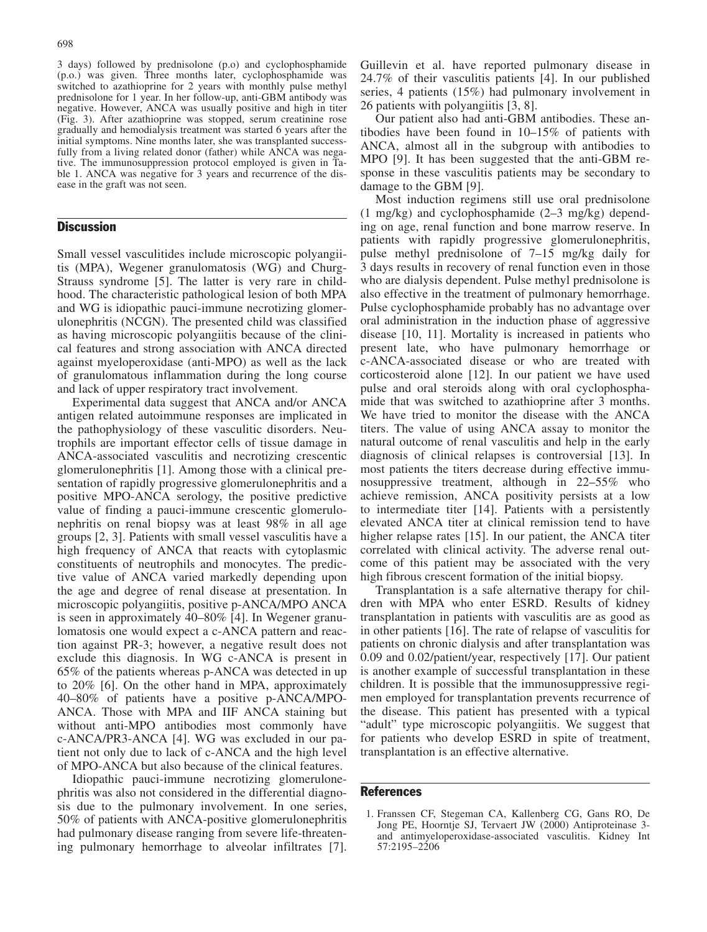3 days) followed by prednisolone (p.o) and cyclophosphamide (p.o.) was given. Three months later, cyclophosphamide was switched to azathioprine for 2 years with monthly pulse methyl prednisolone for 1 year. In her follow-up, anti-GBM antibody was negative. However, ANCA was usually positive and high in titer (Fig. 3). After azathioprine was stopped, serum creatinine rose gradually and hemodialysis treatment was started 6 years after the initial symptoms. Nine months later, she was transplanted successfully from a living related donor (father) while ANCA was negative. The immunosuppression protocol employed is given in Table 1. ANCA was negative for 3 years and recurrence of the disease in the graft was not seen.

## **Discussion**

Small vessel vasculitides include microscopic polyangiitis (MPA), Wegener granulomatosis (WG) and Churg-Strauss syndrome [5]. The latter is very rare in childhood. The characteristic pathological lesion of both MPA and WG is idiopathic pauci-immune necrotizing glomerulonephritis (NCGN). The presented child was classified as having microscopic polyangiitis because of the clinical features and strong association with ANCA directed against myeloperoxidase (anti-MPO) as well as the lack of granulomatous inflammation during the long course and lack of upper respiratory tract involvement.

Experimental data suggest that ANCA and/or ANCA antigen related autoimmune responses are implicated in the pathophysiology of these vasculitic disorders. Neutrophils are important effector cells of tissue damage in ANCA-associated vasculitis and necrotizing crescentic glomerulonephritis [1]. Among those with a clinical presentation of rapidly progressive glomerulonephritis and a positive MPO-ANCA serology, the positive predictive value of finding a pauci-immune crescentic glomerulonephritis on renal biopsy was at least 98% in all age groups [2, 3]. Patients with small vessel vasculitis have a high frequency of ANCA that reacts with cytoplasmic constituents of neutrophils and monocytes. The predictive value of ANCA varied markedly depending upon the age and degree of renal disease at presentation. In microscopic polyangiitis, positive p-ANCA/MPO ANCA is seen in approximately 40–80% [4]. In Wegener granulomatosis one would expect a c-ANCA pattern and reaction against PR-3; however, a negative result does not exclude this diagnosis. In WG c-ANCA is present in 65% of the patients whereas p-ANCA was detected in up to 20% [6]. On the other hand in MPA, approximately 40–80% of patients have a positive p-ANCA/MPO-ANCA. Those with MPA and IIF ANCA staining but without anti-MPO antibodies most commonly have c-ANCA/PR3-ANCA [4]. WG was excluded in our patient not only due to lack of c-ANCA and the high level of MPO-ANCA but also because of the clinical features.

Idiopathic pauci-immune necrotizing glomerulonephritis was also not considered in the differential diagnosis due to the pulmonary involvement. In one series, 50% of patients with ANCA-positive glomerulonephritis had pulmonary disease ranging from severe life-threatening pulmonary hemorrhage to alveolar infiltrates [7]. Guillevin et al. have reported pulmonary disease in 24.7% of their vasculitis patients [4]. In our published series, 4 patients (15%) had pulmonary involvement in 26 patients with polyangiitis [3, 8].

Our patient also had anti-GBM antibodies. These antibodies have been found in 10–15% of patients with ANCA, almost all in the subgroup with antibodies to MPO [9]. It has been suggested that the anti-GBM response in these vasculitis patients may be secondary to damage to the GBM [9].

Most induction regimens still use oral prednisolone (1 mg/kg) and cyclophosphamide (2–3 mg/kg) depending on age, renal function and bone marrow reserve. In patients with rapidly progressive glomerulonephritis, pulse methyl prednisolone of 7–15 mg/kg daily for 3 days results in recovery of renal function even in those who are dialysis dependent. Pulse methyl prednisolone is also effective in the treatment of pulmonary hemorrhage. Pulse cyclophosphamide probably has no advantage over oral administration in the induction phase of aggressive disease [10, 11]. Mortality is increased in patients who present late, who have pulmonary hemorrhage or c-ANCA-associated disease or who are treated with corticosteroid alone [12]. In our patient we have used pulse and oral steroids along with oral cyclophosphamide that was switched to azathioprine after 3 months. We have tried to monitor the disease with the ANCA titers. The value of using ANCA assay to monitor the natural outcome of renal vasculitis and help in the early diagnosis of clinical relapses is controversial [13]. In most patients the titers decrease during effective immunosuppressive treatment, although in 22–55% who achieve remission, ANCA positivity persists at a low to intermediate titer [14]. Patients with a persistently elevated ANCA titer at clinical remission tend to have higher relapse rates [15]. In our patient, the ANCA titer correlated with clinical activity. The adverse renal outcome of this patient may be associated with the very high fibrous crescent formation of the initial biopsy.

Transplantation is a safe alternative therapy for children with MPA who enter ESRD. Results of kidney transplantation in patients with vasculitis are as good as in other patients [16]. The rate of relapse of vasculitis for patients on chronic dialysis and after transplantation was 0.09 and 0.02/patient/year, respectively [17]. Our patient is another example of successful transplantation in these children. It is possible that the immunosuppressive regimen employed for transplantation prevents recurrence of the disease. This patient has presented with a typical "adult" type microscopic polyangiitis. We suggest that for patients who develop ESRD in spite of treatment, transplantation is an effective alternative.

## References

<sup>1.</sup> Franssen CF, Stegeman CA, Kallenberg CG, Gans RO, De Jong PE, Hoorntje SJ, Tervaert JW (2000) Antiproteinase 3 and antimyeloperoxidase-associated vasculitis. Kidney Int 57:2195–2206